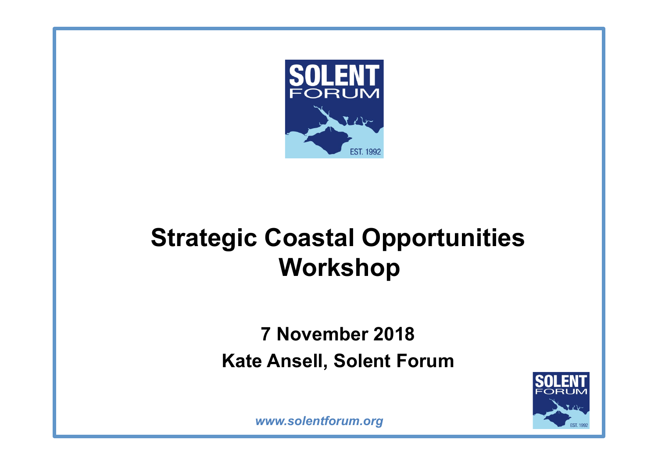

## **Strategic Coastal Opportunities Workshop**

#### **7 November 2018 Kate Ansell, Solent Forum**

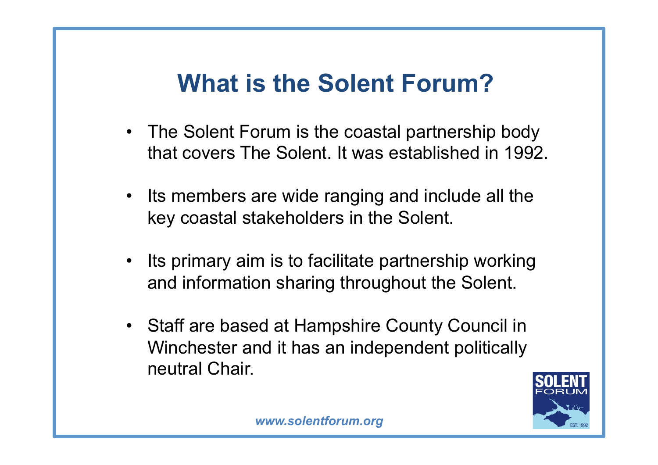## **What is the Solent Forum?**

- The Solent Forum is the coastal partnership body that covers The Solent. It was established in 1992.
- Its members are wide ranging and include all the key coastal stakeholders in the Solent.
- Its primary aim is to facilitate partnership working and information sharing throughout the Solent.
- Staff are based at Hampshire County Council in Winchester and it has an independent politically neutral Chair.

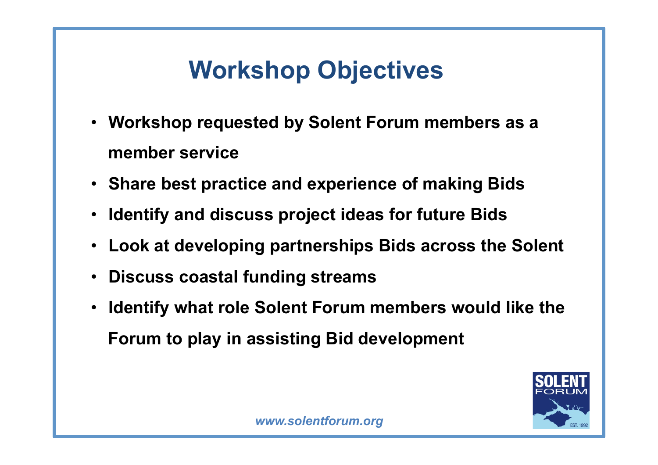# **Workshop Objectives**

- **Workshop requested by Solent Forum members as a member service**
- **Share best practice and experience of making Bids**
- **Identify and discuss project ideas for future Bids**
- **Look at developing partnerships Bids across the Solent**
- **Discuss coastal funding streams**
- **Identify what role Solent Forum members would like the Forum to play in assisting Bid development**

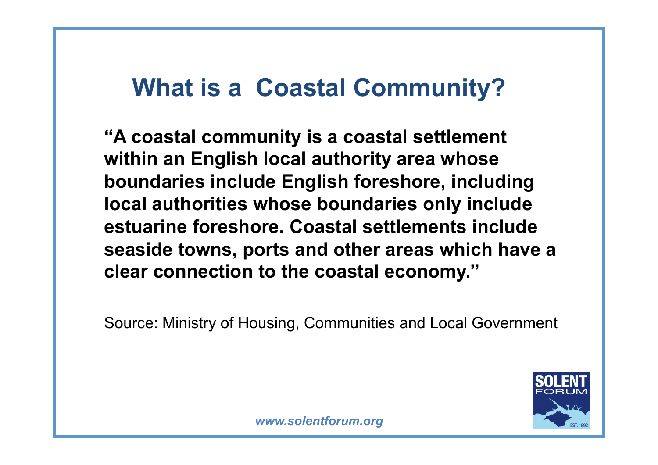### **What is a Coastal Community?**

**"A coastal community is a coastal settlement within an English local authority area whose boundaries include English foreshore, including local authorities whose boundaries only include estuarine foreshore. Coastal settlements include seaside towns, ports and other areas which have a clear connection to the coastal economy."** 

Source: Ministry of Housing, Communities and Local Government

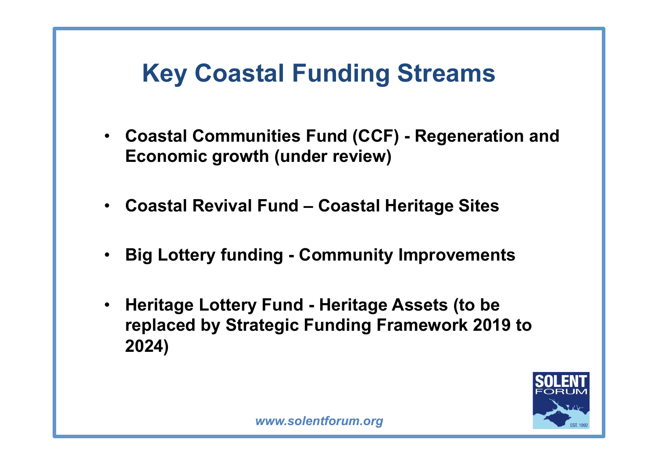### **Key Coastal Funding Streams**

- **Coastal Communities Fund (CCF) Regeneration and Economic growth (under review)**
- **Coastal Revival Fund Coastal Heritage Sites**
- **Big Lottery funding Community Improvements**
- **Heritage Lottery Fund Heritage Assets (to be replaced by Strategic Funding Framework 2019 to 2024)**

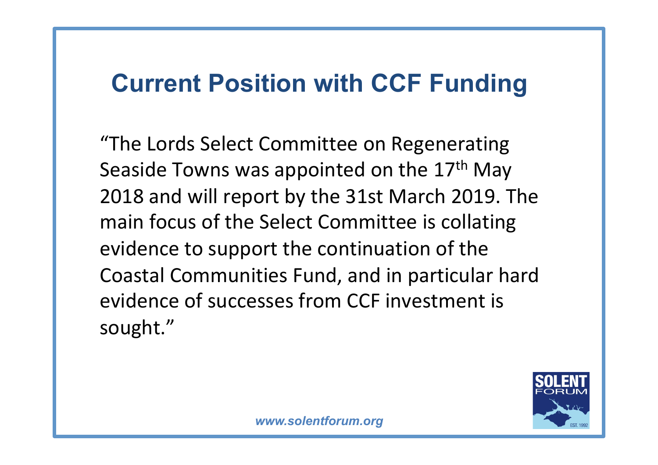#### **Current Position with CCF Funding**

"The Lords Select Committee on Regenerating Seaside Towns was appointed on the 17<sup>th</sup> May 2018 and will report by the 31st March 2019. The main focus of the Select Committee is collating evidence to support the continuation of the Coastal Communities Fund, and in particular hard evidence of successes from CCF investment is sought."

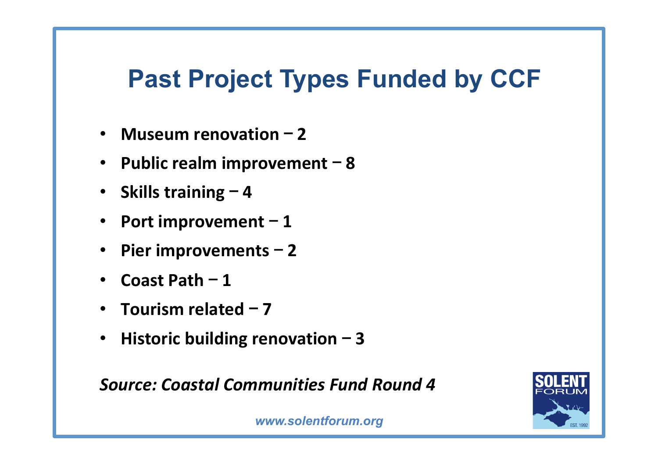#### **Past Project Types Funded by CCF**

- Museum renovation 2
- Public realm improvement 8
- Skills training 4
- Port improvement 1
- Pier improvements 2
- **Coast Path** 1
- **Tourism related 7**
- Historic building renovation 3

**Source: Coastal Communities Fund Round 4** 

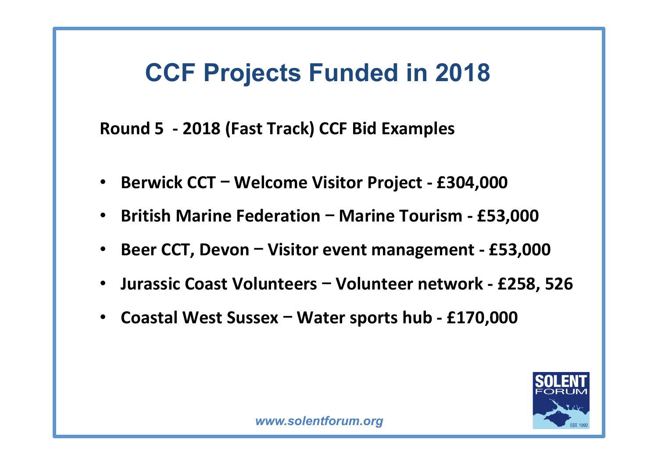#### **CCF Projects Funded in 2018**

Round 5 - 2018 (Fast Track) CCF Bid Examples

- Berwick CCT Welcome Visitor Project £304,000
- British Marine Federation Marine Tourism £53,000
- **Beer CCT, Devon Visitor event management £53,000**
- Jurassic Coast Volunteers Volunteer network £258, 526
- **Coastal West Sussex Water sports hub £170,000**

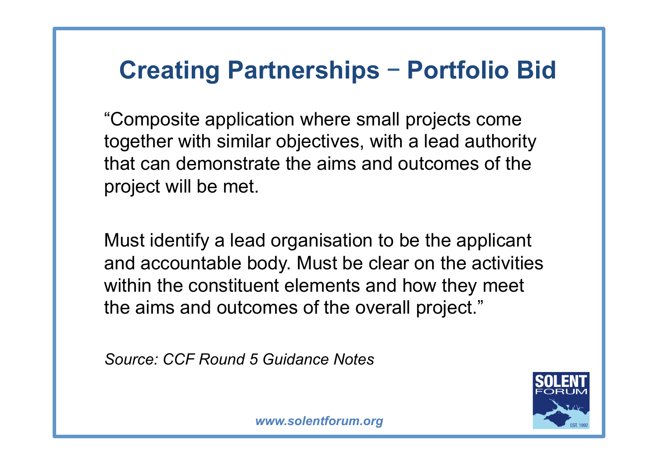#### **Creating Partnerships** – **Portfolio Bid**

"Composite application where small projects come together with similar objectives, with a lead authority that can demonstrate the aims and outcomes of the project will be met.

Must identify a lead organisation to be the applicant and accountable body. Must be clear on the activities within the constituent elements and how they meet the aims and outcomes of the overall project."

*Source: CCF Round 5 Guidance Notes* 

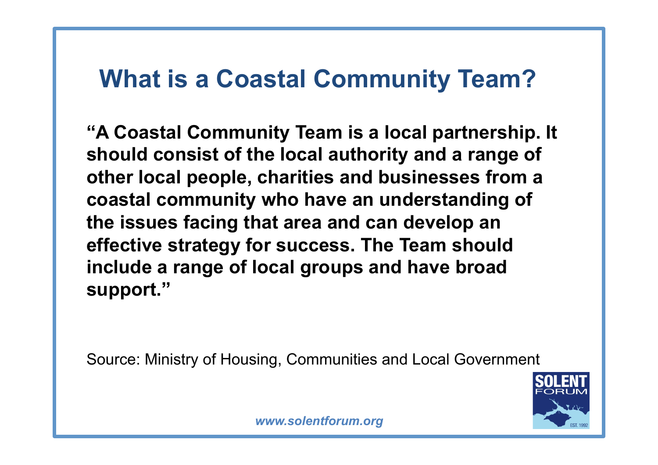#### **What is a Coastal Community Team?**

**"A Coastal Community Team is a local partnership. It should consist of the local authority and a range of other local people, charities and businesses from a coastal community who have an understanding of the issues facing that area and can develop an effective strategy for success. The Team should include a range of local groups and have broad support."** 

Source: Ministry of Housing, Communities and Local Government

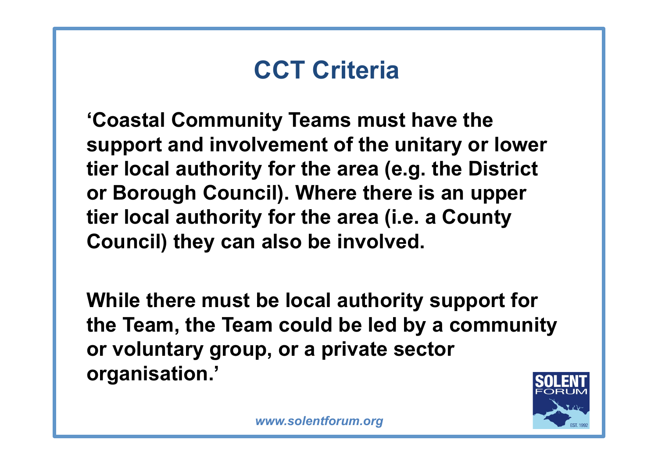### **CCT Criteria**

**'Coastal Community Teams must have the support and involvement of the unitary or lower tier local authority for the area (e.g. the District or Borough Council). Where there is an upper tier local authority for the area (i.e. a County Council) they can also be involved.** 

**While there must be local authority support for the Team, the Team could be led by a community or voluntary group, or a private sector organisation.'** 

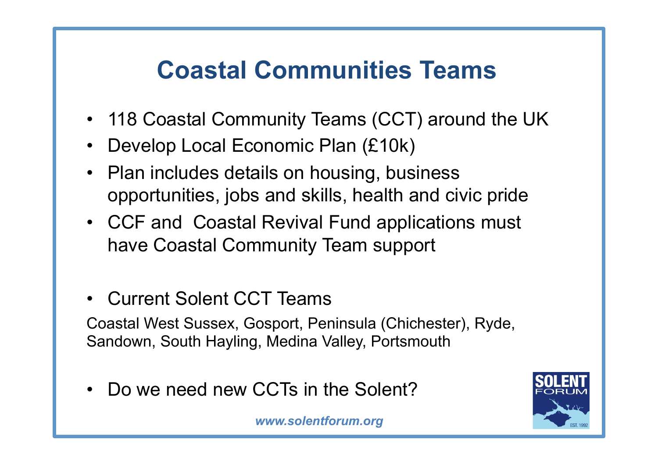## **Coastal Communities Teams**

- 118 Coastal Community Teams (CCT) around the UK
- Develop Local Economic Plan (£10k)
- Plan includes details on housing, business opportunities, jobs and skills, health and civic pride
- CCF and Coastal Revival Fund applications must have Coastal Community Team support
- Current Solent CCT Teams

Coastal West Sussex, Gosport, Peninsula (Chichester), Ryde, Sandown, South Hayling, Medina Valley, Portsmouth

Do we need new CCTs in the Solent?

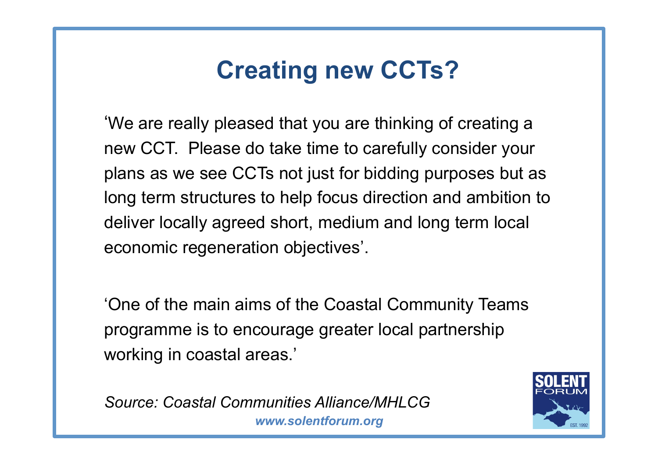## **Creating new CCTs?**

'We are really pleased that you are thinking of creating a new CCT. Please do take time to carefully consider your plans as we see CCTs not just for bidding purposes but as long term structures to help focus direction and ambition to deliver locally agreed short, medium and long term local economic regeneration objectives'.

'One of the main aims of the Coastal Community Teams programme is to encourage greater local partnership working in coastal areas.'

*www.solentforum.org Source: Coastal Communities Alliance/MHLCG* 

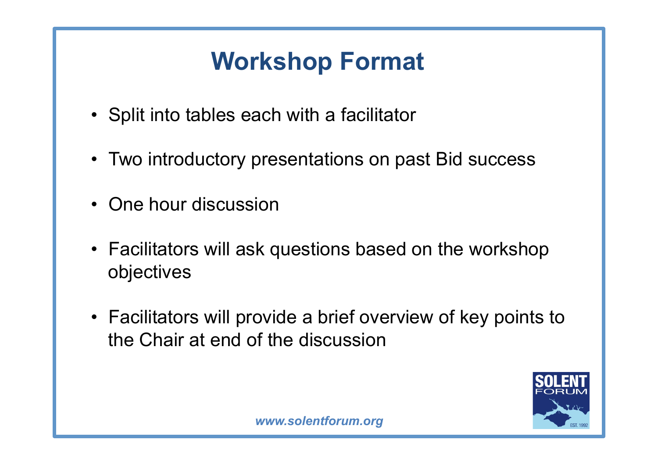## **Workshop Format**

- Split into tables each with a facilitator
- Two introductory presentations on past Bid success
- One hour discussion
- Facilitators will ask questions based on the workshop objectives
- Facilitators will provide a brief overview of key points to the Chair at end of the discussion

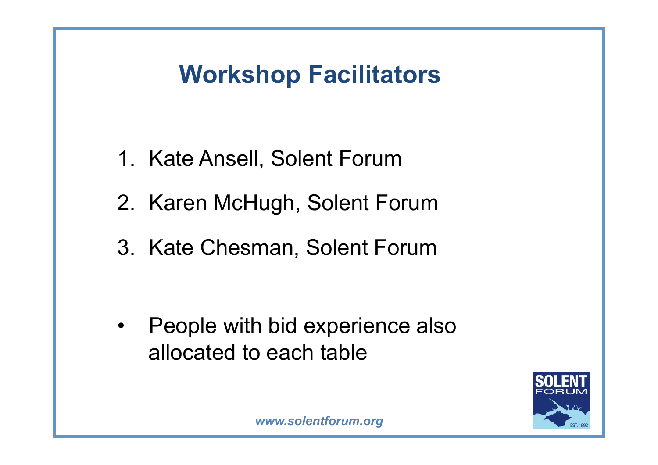### **Workshop Facilitators**

- 1. Kate Ansell, Solent Forum
- 2. Karen McHugh, Solent Forum
- 3. Kate Chesman, Solent Forum

• People with bid experience also allocated to each table

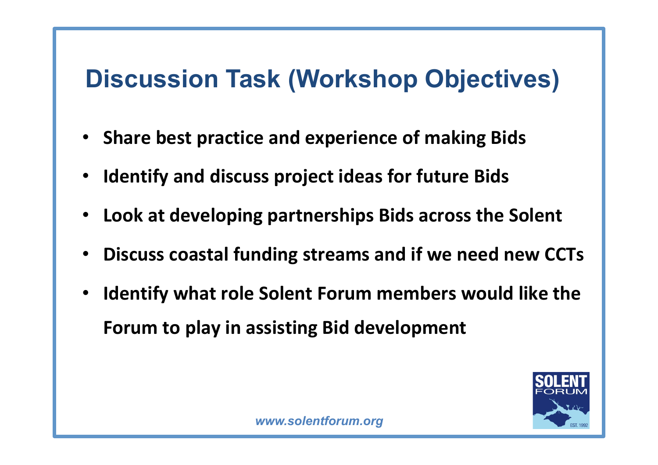### **Discussion Task (Workshop Objectives)**

- **Share best practice and experience of making Bids**
- **Identify and discuss project ideas for future Bids**
- Look at developing partnerships Bids across the Solent
- **Discuss coastal funding streams and if we need new CCTs**
- **Identify what role Solent Forum members would like the Forum to play in assisting Bid development**